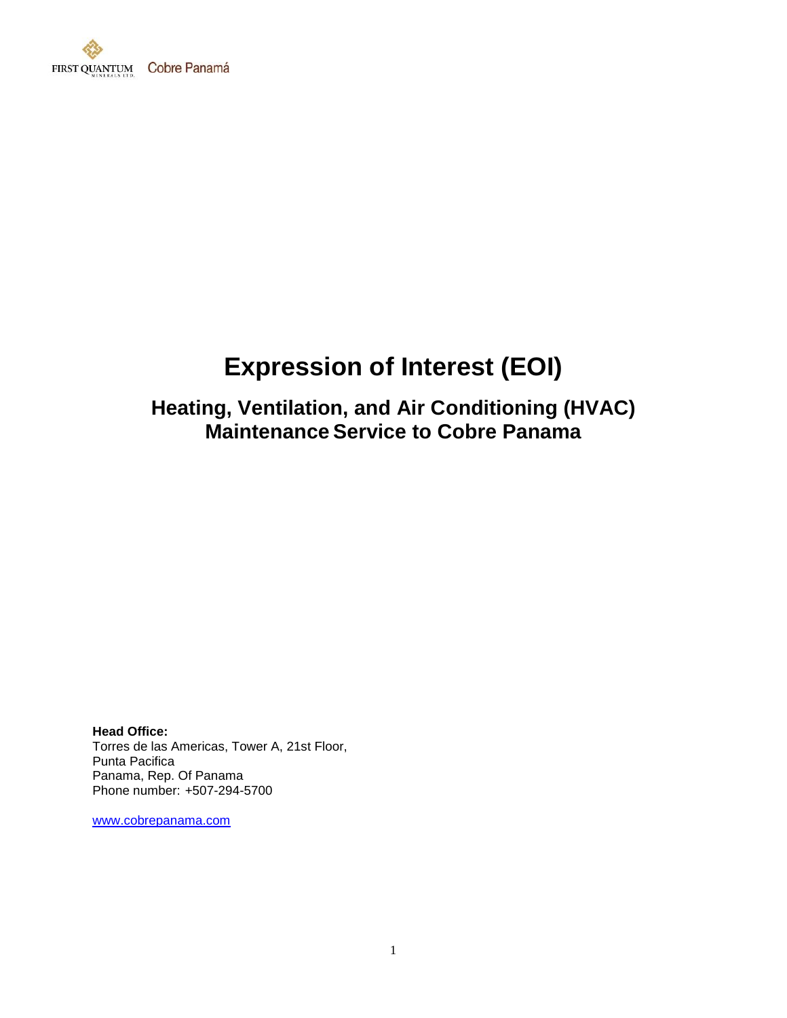

# **Expression of Interest (EOI)**

## **Heating, Ventilation, and Air Conditioning (HVAC) Maintenance Service to Cobre Panama**

**Head Office:** Torres de las Americas, Tower A, 21st Floor, Punta Pacifica Panama, Rep. Of Panama Phone number: +507-294-5700

[www.cobrepanama.com](http://www.cobrepanama.com/)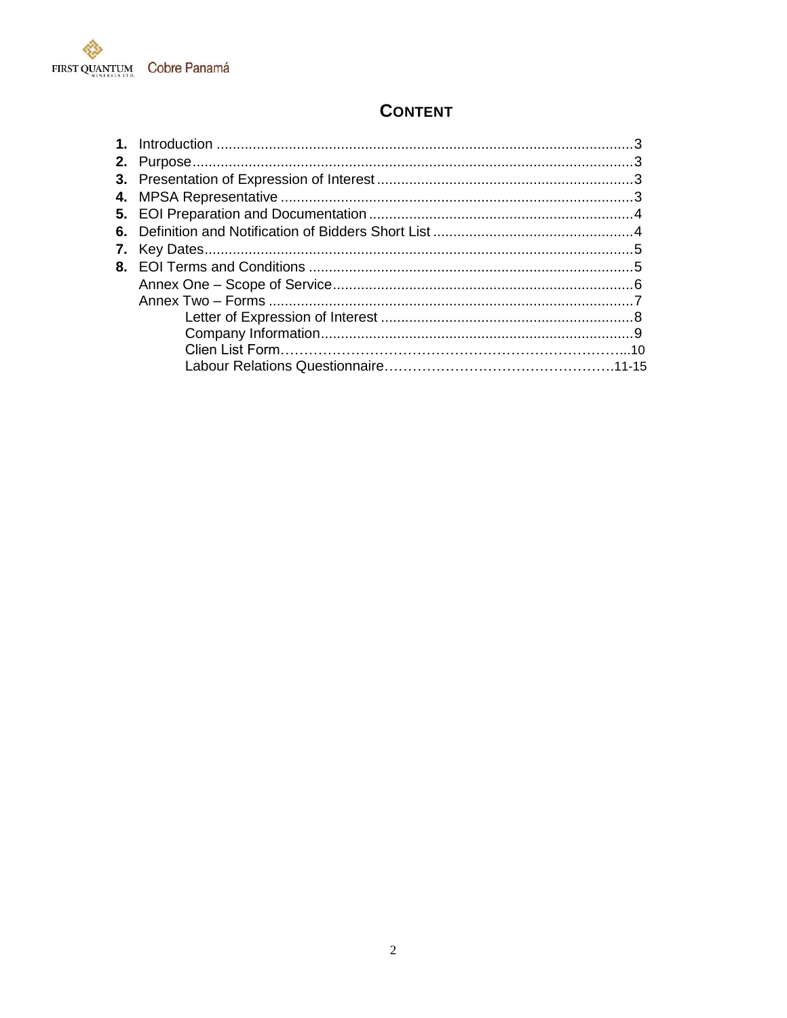

## **CONTENT**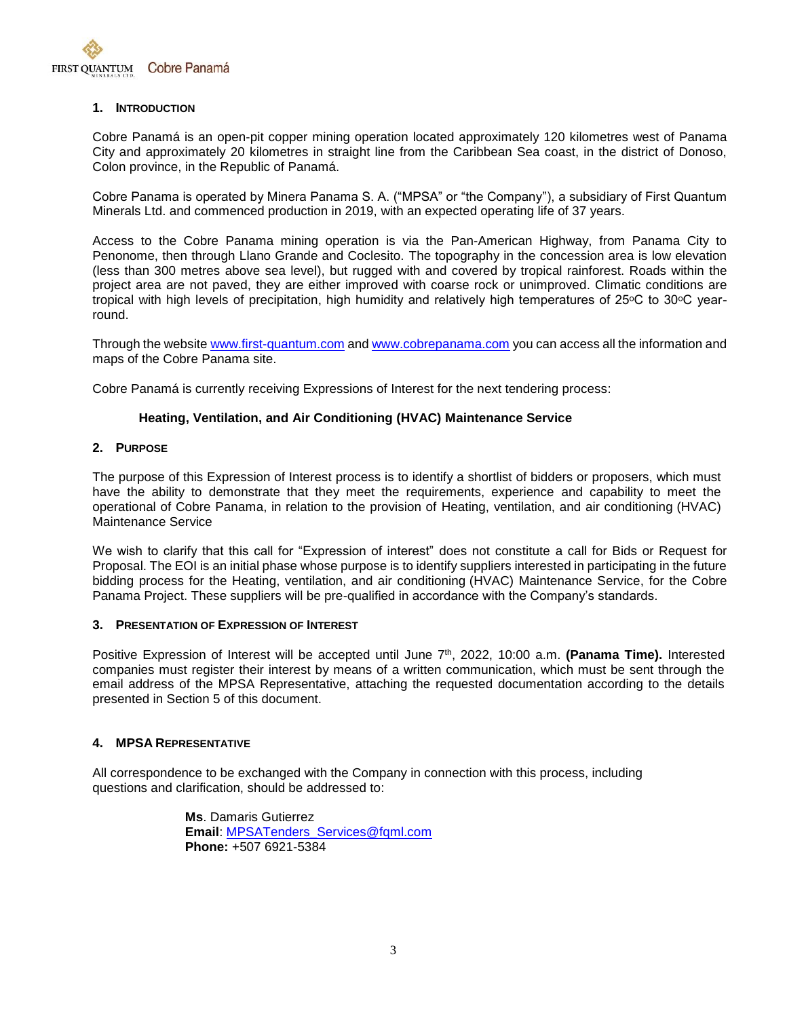

#### **1. INTRODUCTION**

Cobre Panamá is an open-pit copper mining operation located approximately 120 kilometres west of Panama City and approximately 20 kilometres in straight line from the Caribbean Sea coast, in the district of Donoso, Colon province, in the Republic of Panamá.

Cobre Panama is operated by Minera Panama S. A. ("MPSA" or "the Company"), a subsidiary of First Quantum Minerals Ltd. and commenced production in 2019, with an expected operating life of 37 years.

Access to the Cobre Panama mining operation is via the Pan-American Highway, from Panama City to Penonome, then through Llano Grande and Coclesito. The topography in the concession area is low elevation (less than 300 metres above sea level), but rugged with and covered by tropical rainforest. Roads within the project area are not paved, they are either improved with coarse rock or unimproved. Climatic conditions are tropical with high levels of precipitation, high humidity and relatively high temperatures of 25 °C to 30 °C yearround.

Through the website [www.first-quantum.com](http://www.first-quantum.com/) an[d www.cobrepanama.com](http://www.cobrepanama.com/) you can access all the information and maps of the Cobre Panama site.

Cobre Panamá is currently receiving Expressions of Interest for the next tendering process:

#### **Heating, Ventilation, and Air Conditioning (HVAC) Maintenance Service**

#### **2. PURPOSE**

The purpose of this Expression of Interest process is to identify a shortlist of bidders or proposers, which must have the ability to demonstrate that they meet the requirements, experience and capability to meet the operational of Cobre Panama, in relation to the provision of Heating, ventilation, and air conditioning (HVAC) Maintenance Service

We wish to clarify that this call for "Expression of interest" does not constitute a call for Bids or Request for Proposal. The EOI is an initial phase whose purpose is to identify suppliers interested in participating in the future bidding process for the Heating, ventilation, and air conditioning (HVAC) Maintenance Service, for the Cobre Panama Project. These suppliers will be pre-qualified in accordance with the Company's standards.

#### **3. PRESENTATION OF EXPRESSION OF INTEREST**

Positive Expression of Interest will be accepted until June 7<sup>th</sup>, 2022, 10:00 a.m. **(Panama Time).** Interested companies must register their interest by means of a written communication, which must be sent through the email address of the MPSA Representative, attaching the requested documentation according to the details presented in Section 5 of this document.

#### **4. MPSA REPRESENTATIVE**

All correspondence to be exchanged with the Company in connection with this process, including questions and clarification, should be addressed to:

> **Ms**. Damaris Gutierrez **Email**: [MPSATenders\\_Services@fqml.com](mailto:MPSATenders_Services@fqml.com) **Phone:** +507 6921-5384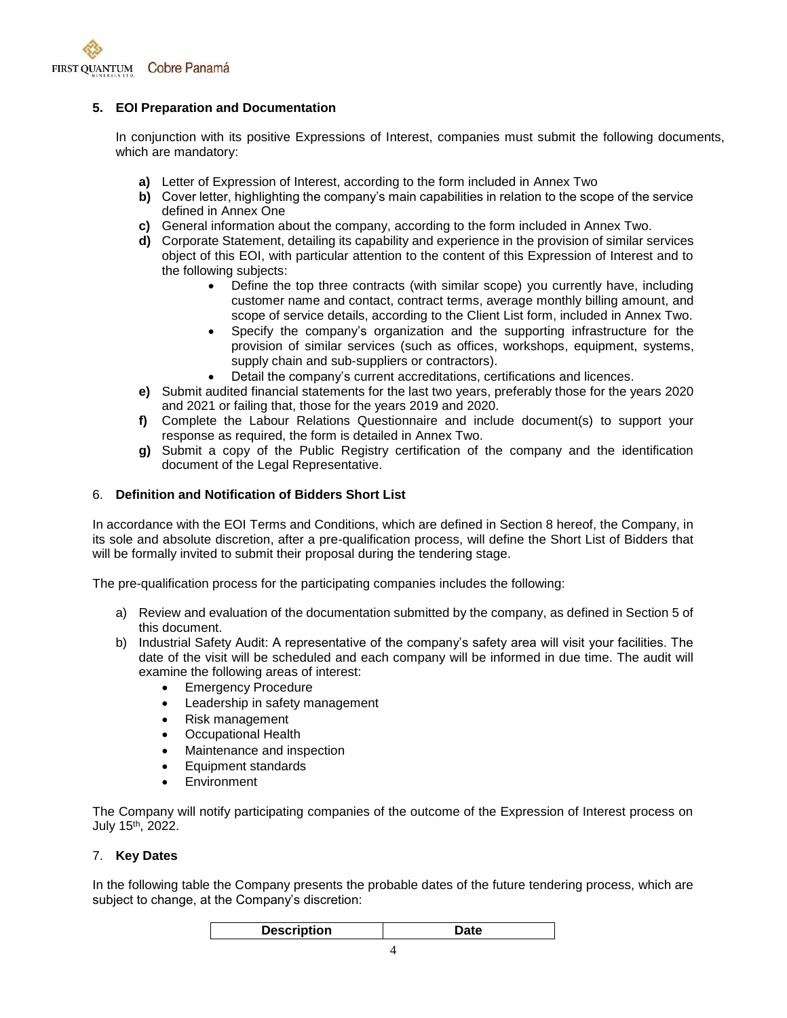

#### **5. EOI Preparation and Documentation**

In conjunction with its positive Expressions of Interest, companies must submit the following documents, which are mandatory:

- **a)** Letter of Expression of Interest, according to the form included in Annex Two
- **b)** Cover letter, highlighting the company's main capabilities in relation to the scope of the service defined in Annex One
- **c)** General information about the company, according to the form included in Annex Two.
- **d)** Corporate Statement, detailing its capability and experience in the provision of similar services object of this EOI, with particular attention to the content of this Expression of Interest and to the following subjects:
	- Define the top three contracts (with similar scope) you currently have, including customer name and contact, contract terms, average monthly billing amount, and scope of service details, according to the Client List form, included in Annex Two.
	- Specify the company's organization and the supporting infrastructure for the provision of similar services (such as offices, workshops, equipment, systems, supply chain and sub-suppliers or contractors).
	- Detail the company's current accreditations, certifications and licences.
- **e)** Submit audited financial statements for the last two years, preferably those for the years 2020 and 2021 or failing that, those for the years 2019 and 2020.
- **f)** Complete the Labour Relations Questionnaire and include document(s) to support your response as required, the form is detailed in Annex Two.
- **g)** Submit a copy of the Public Registry certification of the company and the identification document of the Legal Representative.

#### 6. **Definition and Notification of Bidders Short List**

In accordance with the EOI Terms and Conditions, which are defined in Section 8 hereof, the Company, in its sole and absolute discretion, after a pre-qualification process, will define the Short List of Bidders that will be formally invited to submit their proposal during the tendering stage.

The pre-qualification process for the participating companies includes the following:

- a) Review and evaluation of the documentation submitted by the company, as defined in Section 5 of this document.
- b) Industrial Safety Audit: A representative of the company's safety area will visit your facilities. The date of the visit will be scheduled and each company will be informed in due time. The audit will examine the following areas of interest:
	- **Emergency Procedure**
	- Leadership in safety management
	- Risk management
	- Occupational Health
	- Maintenance and inspection
	- Equipment standards
	- **•** Environment

The Company will notify participating companies of the outcome of the Expression of Interest process on July 15<sup>th</sup>, 2022.

#### 7. **Key Dates**

In the following table the Company presents the probable dates of the future tendering process, which are subject to change, at the Company's discretion: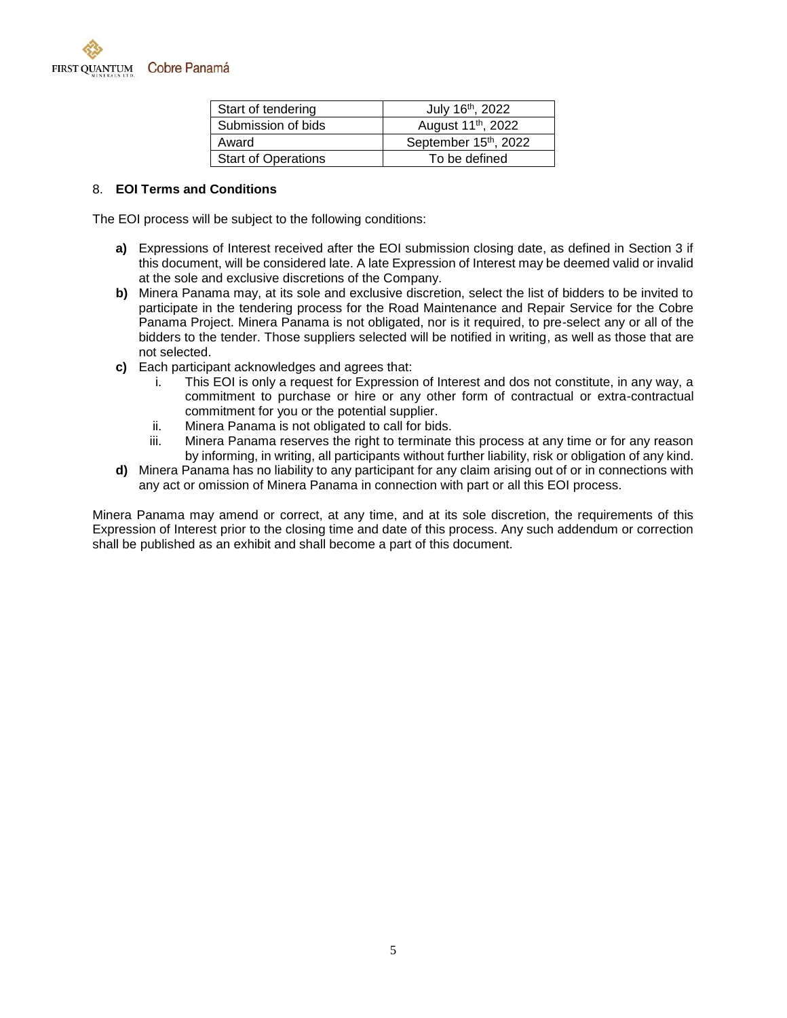

| Start of tendering         | July 16th, 2022                |
|----------------------------|--------------------------------|
| Submission of bids         | August 11 <sup>th</sup> , 2022 |
| Award                      | September 15th, 2022           |
| <b>Start of Operations</b> | To be defined                  |

#### 8. **EOI Terms and Conditions**

The EOI process will be subject to the following conditions:

- **a)** Expressions of Interest received after the EOI submission closing date, as defined in Section 3 if this document, will be considered late. A late Expression of Interest may be deemed valid or invalid at the sole and exclusive discretions of the Company.
- **b)** Minera Panama may, at its sole and exclusive discretion, select the list of bidders to be invited to participate in the tendering process for the Road Maintenance and Repair Service for the Cobre Panama Project. Minera Panama is not obligated, nor is it required, to pre-select any or all of the bidders to the tender. Those suppliers selected will be notified in writing, as well as those that are not selected.
- **c)** Each participant acknowledges and agrees that:
	- i. This EOI is only a request for Expression of Interest and dos not constitute, in any way, a commitment to purchase or hire or any other form of contractual or extra-contractual commitment for you or the potential supplier.
	- ii. Minera Panama is not obligated to call for bids.
	- iii. Minera Panama reserves the right to terminate this process at any time or for any reason by informing, in writing, all participants without further liability, risk or obligation of any kind.
- **d)** Minera Panama has no liability to any participant for any claim arising out of or in connections with any act or omission of Minera Panama in connection with part or all this EOI process.

Minera Panama may amend or correct, at any time, and at its sole discretion, the requirements of this Expression of Interest prior to the closing time and date of this process. Any such addendum or correction shall be published as an exhibit and shall become a part of this document.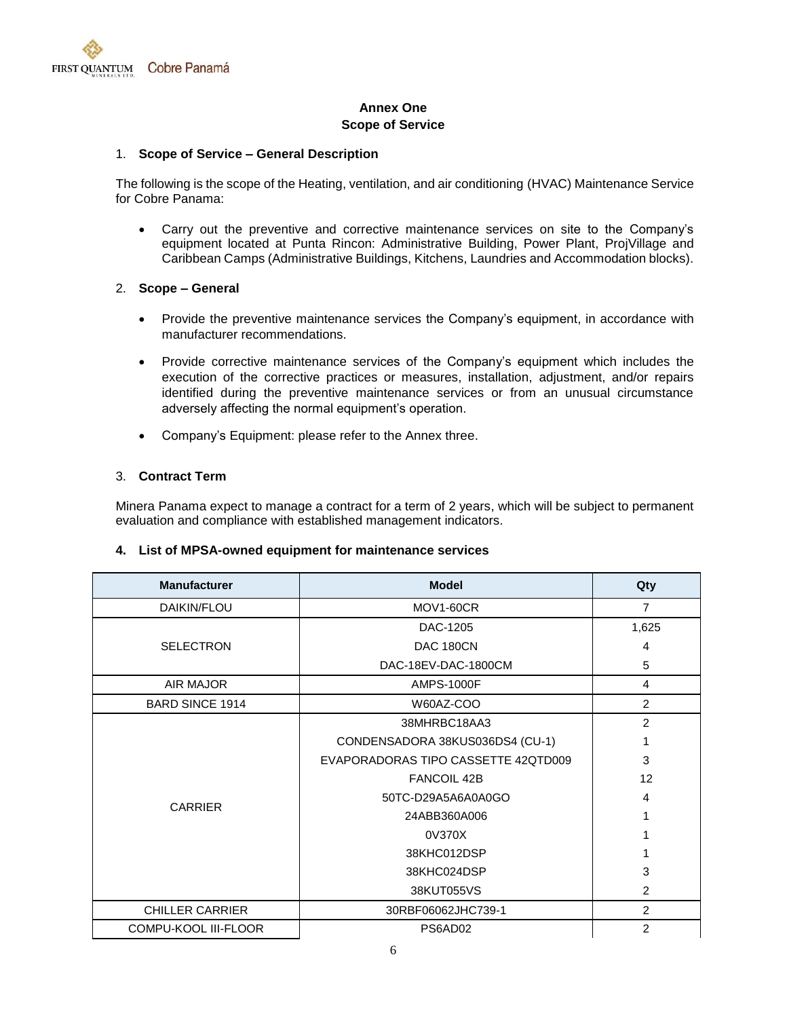

#### **Annex One Scope of Service**

#### 1. **Scope of Service – General Description**

The following is the scope of the Heating, ventilation, and air conditioning (HVAC) Maintenance Service for Cobre Panama:

 Carry out the preventive and corrective maintenance services on site to the Company's equipment located at Punta Rincon: Administrative Building, Power Plant, ProjVillage and Caribbean Camps (Administrative Buildings, Kitchens, Laundries and Accommodation blocks).

#### 2. **Scope – General**

- Provide the preventive maintenance services the Company's equipment, in accordance with manufacturer recommendations.
- Provide corrective maintenance services of the Company's equipment which includes the execution of the corrective practices or measures, installation, adjustment, and/or repairs identified during the preventive maintenance services or from an unusual circumstance adversely affecting the normal equipment's operation.
- Company's Equipment: please refer to the Annex three.

#### 3. **Contract Term**

Minera Panama expect to manage a contract for a term of 2 years, which will be subject to permanent evaluation and compliance with established management indicators.

#### **4. List of MPSA-owned equipment for maintenance services**

| <b>Manufacturer</b>    | <b>Model</b>                        | Qty            |
|------------------------|-------------------------------------|----------------|
| DAIKIN/FLOU            | MOV1-60CR                           | $\overline{7}$ |
|                        | DAC-1205                            | 1,625          |
| <b>SELECTRON</b>       | DAC 180CN                           | 4              |
|                        | DAC-18EV-DAC-1800CM                 | 5              |
| AIR MAJOR              | <b>AMPS-1000F</b>                   | 4              |
| <b>BARD SINCE 1914</b> | W60AZ-COO                           | $\overline{2}$ |
|                        | 38MHRBC18AA3                        | $\overline{c}$ |
|                        | CONDENSADORA 38KUS036DS4 (CU-1)     | 1              |
|                        | EVAPORADORAS TIPO CASSETTE 42QTD009 | 3              |
|                        | <b>FANCOIL 42B</b>                  | 12             |
| <b>CARRIER</b>         | 50TC-D29A5A6A0A0GO                  | 4              |
|                        | 24ABB360A006                        |                |
|                        | 0V370X                              |                |
|                        | 38KHC012DSP                         | 1              |
|                        | 38KHC024DSP                         | 3              |
|                        | 38KUT055VS                          | $\overline{2}$ |
| <b>CHILLER CARRIER</b> | 30RBF06062JHC739-1                  | $\overline{2}$ |
| COMPU-KOOL III-FLOOR   | PS6AD02                             | $\overline{2}$ |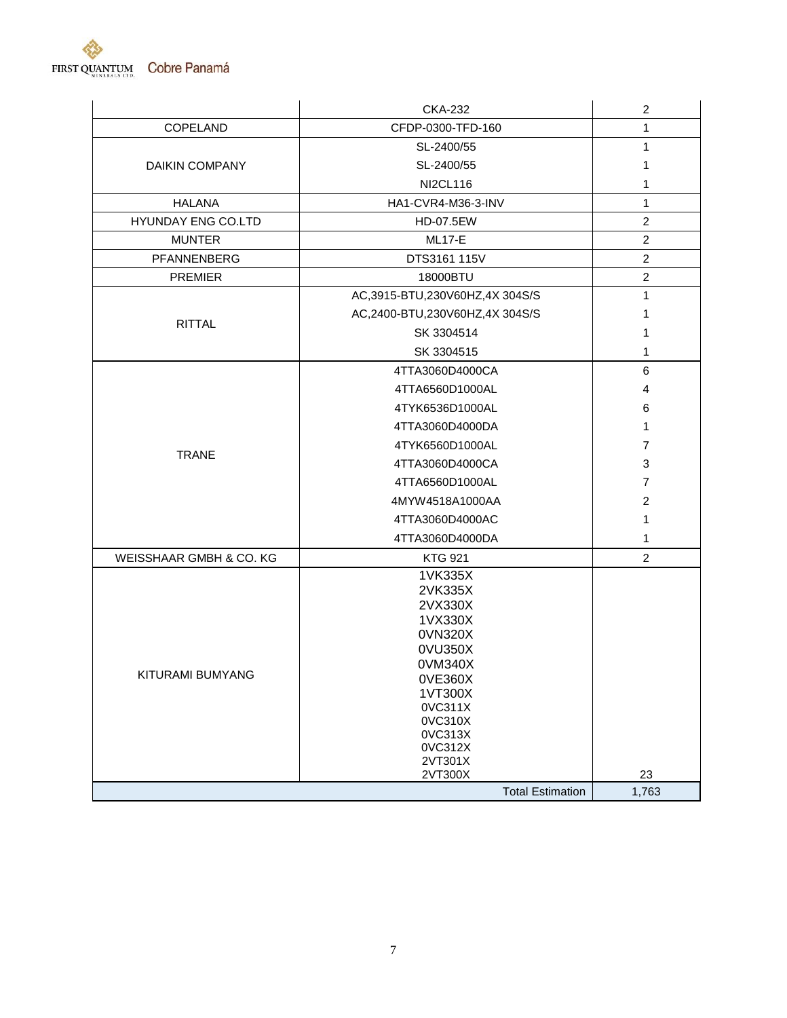

|                         | <b>CKA-232</b>                                                                                                                                                    | $\boldsymbol{2}$ |
|-------------------------|-------------------------------------------------------------------------------------------------------------------------------------------------------------------|------------------|
| COPELAND                | CFDP-0300-TFD-160                                                                                                                                                 | 1                |
|                         | SL-2400/55                                                                                                                                                        | 1                |
| <b>DAIKIN COMPANY</b>   | SL-2400/55                                                                                                                                                        | 1                |
|                         | <b>NI2CL116</b>                                                                                                                                                   | 1                |
| <b>HALANA</b>           | HA1-CVR4-M36-3-INV                                                                                                                                                | 1                |
| HYUNDAY ENG CO.LTD      | HD-07.5EW                                                                                                                                                         | $\overline{c}$   |
| <b>MUNTER</b>           | <b>ML17-E</b>                                                                                                                                                     | $\boldsymbol{2}$ |
| PFANNENBERG             | DTS3161 115V                                                                                                                                                      | $\overline{c}$   |
| <b>PREMIER</b>          | 18000BTU                                                                                                                                                          | $\overline{c}$   |
|                         | AC,3915-BTU,230V60HZ,4X 304S/S                                                                                                                                    | 1                |
|                         | AC,2400-BTU,230V60HZ,4X 304S/S                                                                                                                                    | 1                |
| <b>RITTAL</b>           | SK 3304514                                                                                                                                                        | 1                |
|                         | SK 3304515                                                                                                                                                        | 1                |
|                         | 4TTA3060D4000CA                                                                                                                                                   | 6                |
|                         | 4TTA6560D1000AL                                                                                                                                                   | 4                |
|                         | 4TYK6536D1000AL                                                                                                                                                   | 6                |
|                         | 4TTA3060D4000DA                                                                                                                                                   | 1                |
|                         | 4TYK6560D1000AL                                                                                                                                                   | $\overline{7}$   |
| <b>TRANE</b>            | 4TTA3060D4000CA                                                                                                                                                   | 3                |
|                         | 4TTA6560D1000AL                                                                                                                                                   | $\overline{7}$   |
|                         | 4MYW4518A1000AA                                                                                                                                                   | $\overline{c}$   |
|                         | 4TTA3060D4000AC                                                                                                                                                   | 1                |
|                         | 4TTA3060D4000DA                                                                                                                                                   | 1                |
| WEISSHAAR GMBH & CO. KG | <b>KTG 921</b>                                                                                                                                                    | $\overline{2}$   |
| KITURAMI BUMYANG        | 1VK335X<br>2VK335X<br>2VX330X<br>1VX330X<br>0VN320X<br>0VU350X<br>0VM340X<br>0VE360X<br>1VT300X<br>0VC311X<br>0VC310X<br>0VC313X<br>0VC312X<br>2VT301X<br>2VT300X | 23               |
|                         | <b>Total Estimation</b>                                                                                                                                           | 1,763            |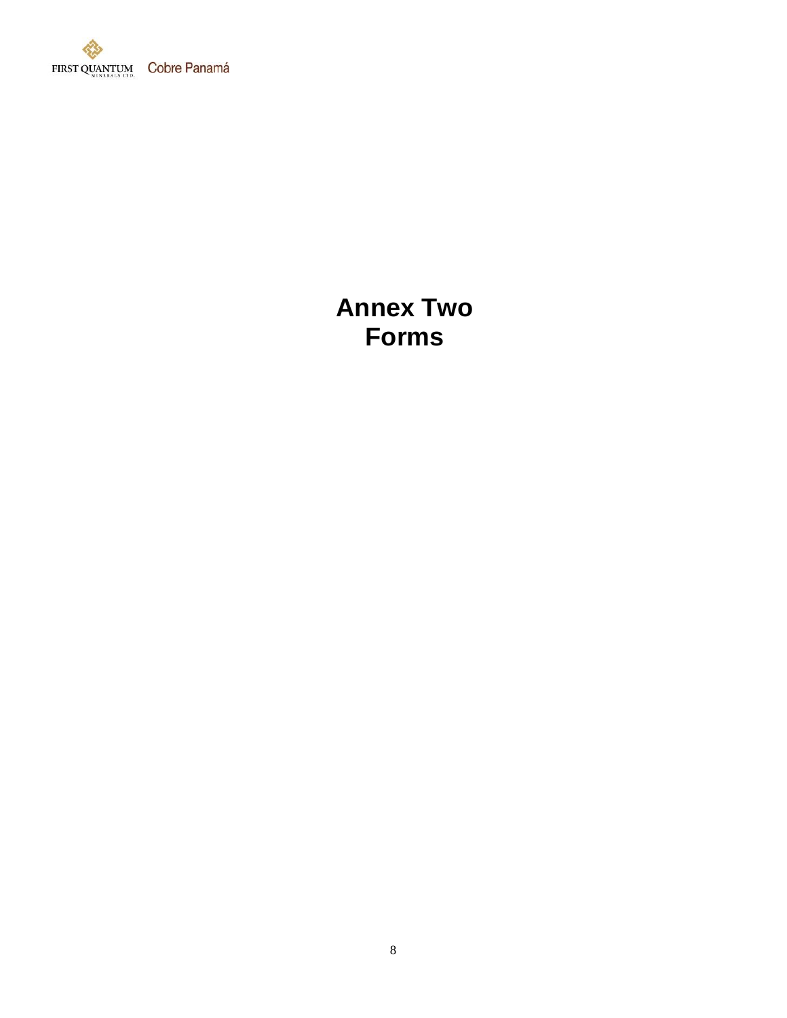

# **Annex Two Forms**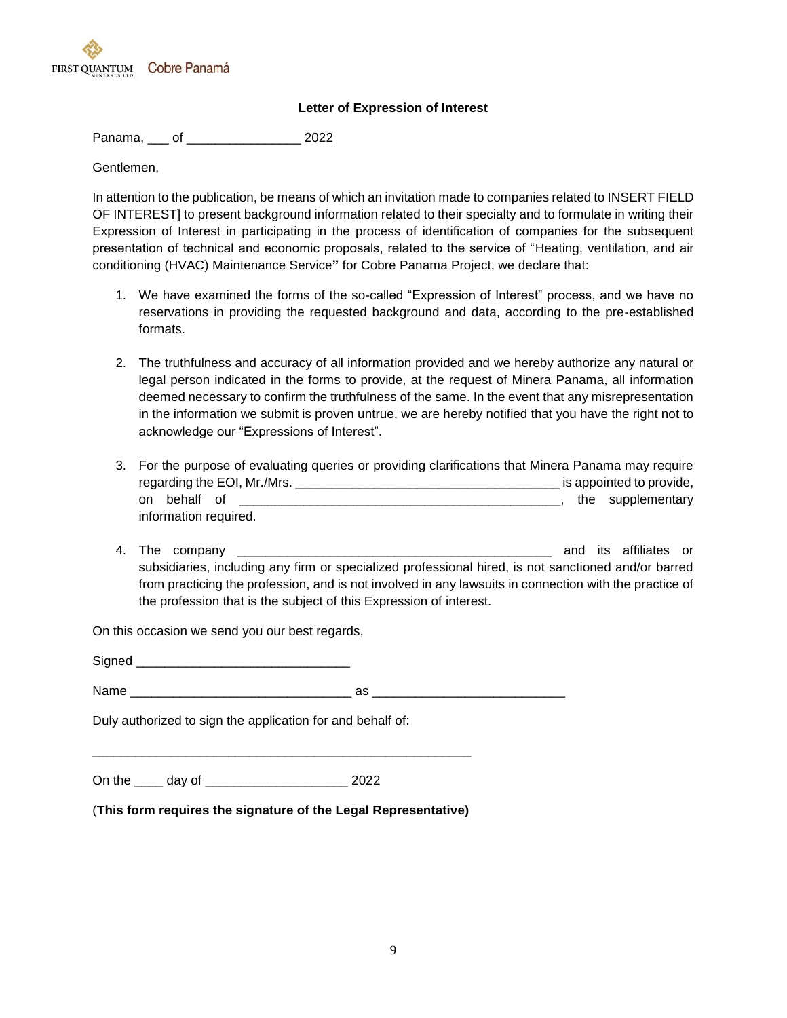

#### **Letter of Expression of Interest**

Panama, \_\_\_ of \_\_\_\_\_\_\_\_\_\_\_\_\_\_\_\_ 2022

Gentlemen,

In attention to the publication, be means of which an invitation made to companies related to INSERT FIELD OF INTEREST] to present background information related to their specialty and to formulate in writing their Expression of Interest in participating in the process of identification of companies for the subsequent presentation of technical and economic proposals, related to the service of "Heating, ventilation, and air conditioning (HVAC) Maintenance Service**"** for Cobre Panama Project, we declare that:

- 1. We have examined the forms of the so-called "Expression of Interest" process, and we have no reservations in providing the requested background and data, according to the pre-established formats.
- 2. The truthfulness and accuracy of all information provided and we hereby authorize any natural or legal person indicated in the forms to provide, at the request of Minera Panama, all information deemed necessary to confirm the truthfulness of the same. In the event that any misrepresentation in the information we submit is proven untrue, we are hereby notified that you have the right not to acknowledge our "Expressions of Interest".
- 3. For the purpose of evaluating queries or providing clarifications that Minera Panama may require regarding the EOI, Mr./Mrs. \_\_\_\_\_\_\_\_\_\_\_\_\_\_\_\_\_\_\_\_\_\_\_\_\_\_\_\_\_\_\_\_\_\_\_\_\_ is appointed to provide, on behalf of \_\_\_\_\_\_\_\_\_\_\_\_\_\_\_\_\_\_\_\_\_\_\_\_\_\_\_\_\_\_\_\_\_\_\_\_\_\_\_\_\_\_\_\_\_, the supplementary information required.
- 4. The company \_\_\_\_\_\_\_\_\_\_\_\_\_\_\_\_\_\_\_\_\_\_\_\_\_\_\_\_\_\_\_\_\_\_\_\_\_\_\_\_\_\_\_\_ and its affiliates or subsidiaries, including any firm or specialized professional hired, is not sanctioned and/or barred from practicing the profession, and is not involved in any lawsuits in connection with the practice of the profession that is the subject of this Expression of interest.

On this occasion we send you our best regards,

Signed **and**  $N$ ame  $\hbox{QCD}$ 

Duly authorized to sign the application for and behalf of:

On the \_\_\_\_ day of \_\_\_\_\_\_\_\_\_\_\_\_\_\_\_\_\_\_\_\_ 2022

(**This form requires the signature of the Legal Representative)**

\_\_\_\_\_\_\_\_\_\_\_\_\_\_\_\_\_\_\_\_\_\_\_\_\_\_\_\_\_\_\_\_\_\_\_\_\_\_\_\_\_\_\_\_\_\_\_\_\_\_\_\_\_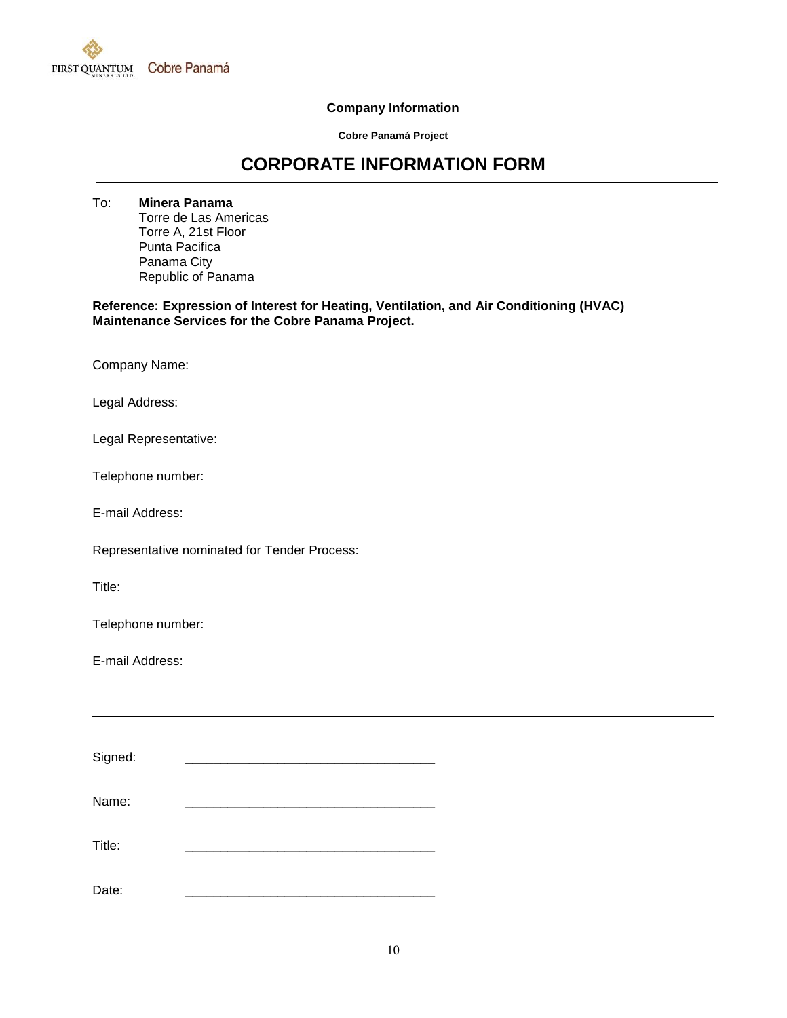

#### **Company Information**

**Cobre Panamá Project**

## **CORPORATE INFORMATION FORM**

To: **Minera Panama** Torre de Las Americas Torre A, 21st Floor Punta Pacifica Panama City Republic of Panama

**Reference: Expression of Interest for Heating, Ventilation, and Air Conditioning (HVAC) Maintenance Services for the Cobre Panama Project.**

Company Name: Legal Address: Legal Representative: Telephone number: E-mail Address: Representative nominated for Tender Process: Title: Telephone number: E-mail Address: Signed:

Name: \_\_\_\_\_\_\_\_\_\_\_\_\_\_\_\_\_\_\_\_\_\_\_\_\_\_\_\_\_\_\_\_\_\_\_ Title: \_\_\_\_\_\_\_\_\_\_\_\_\_\_\_\_\_\_\_\_\_\_\_\_\_\_\_\_\_\_\_\_\_\_\_ Date: \_\_\_\_\_\_\_\_\_\_\_\_\_\_\_\_\_\_\_\_\_\_\_\_\_\_\_\_\_\_\_\_\_\_\_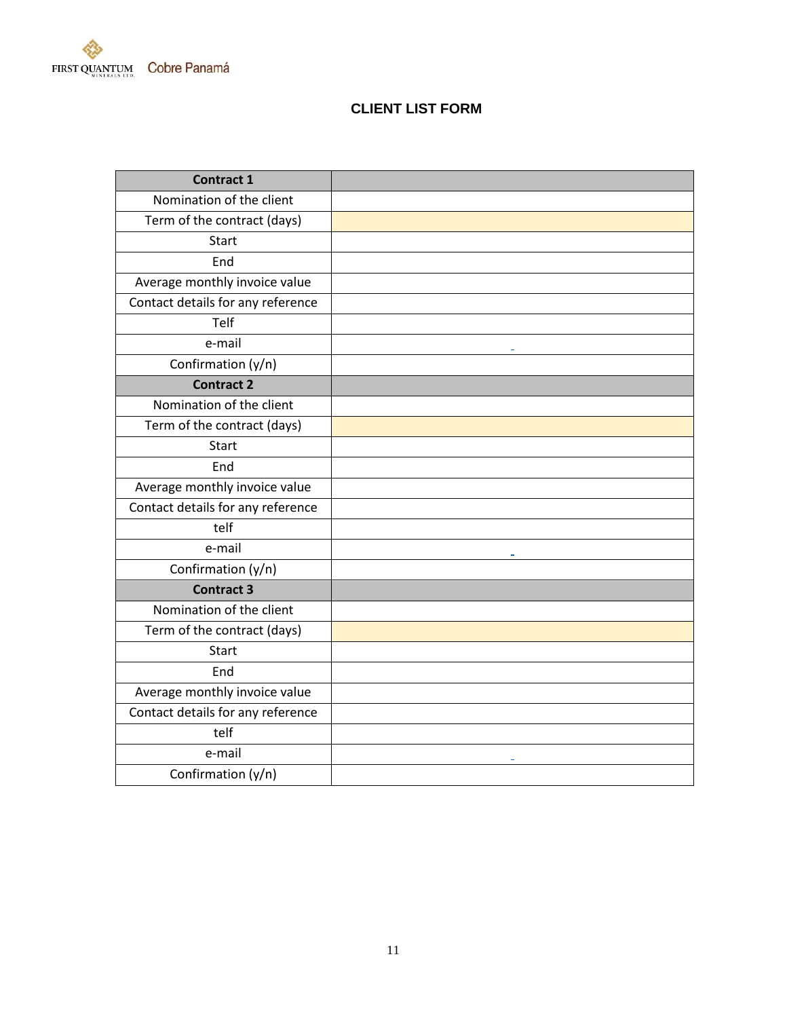

## **CLIENT LIST FORM**

| <b>Contract 1</b>                 |  |
|-----------------------------------|--|
| Nomination of the client          |  |
| Term of the contract (days)       |  |
| <b>Start</b>                      |  |
| End                               |  |
| Average monthly invoice value     |  |
| Contact details for any reference |  |
| Telf                              |  |
| e-mail                            |  |
| Confirmation (y/n)                |  |
| <b>Contract 2</b>                 |  |
| Nomination of the client          |  |
| Term of the contract (days)       |  |
| <b>Start</b>                      |  |
| End                               |  |
| Average monthly invoice value     |  |
| Contact details for any reference |  |
| telf                              |  |
| e-mail                            |  |
| Confirmation (y/n)                |  |
| <b>Contract 3</b>                 |  |
| Nomination of the client          |  |
| Term of the contract (days)       |  |
| <b>Start</b>                      |  |
| End                               |  |
| Average monthly invoice value     |  |
| Contact details for any reference |  |
| telf                              |  |
| e-mail                            |  |
| Confirmation (y/n)                |  |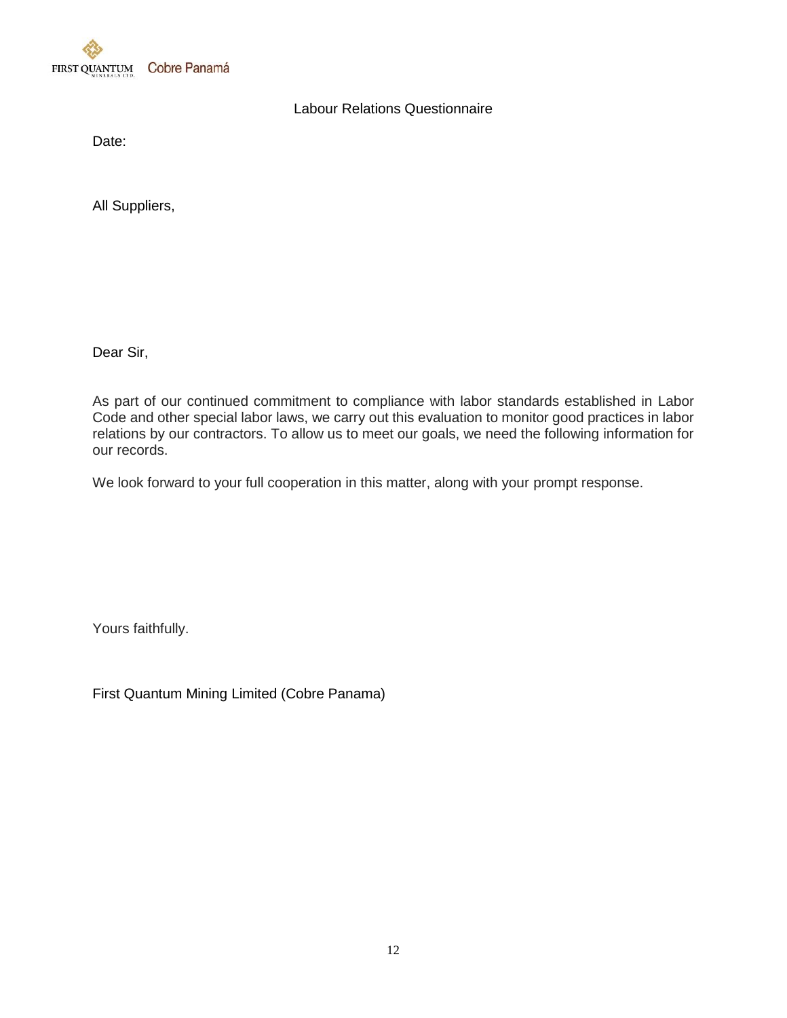

## Labour Relations Questionnaire

Date:

All Suppliers,

Dear Sir,

As part of our continued commitment to compliance with labor standards established in Labor Code and other special labor laws, we carry out this evaluation to monitor good practices in labor relations by our contractors. To allow us to meet our goals, we need the following information for our records.

We look forward to your full cooperation in this matter, along with your prompt response.

Yours faithfully.

First Quantum Mining Limited (Cobre Panama)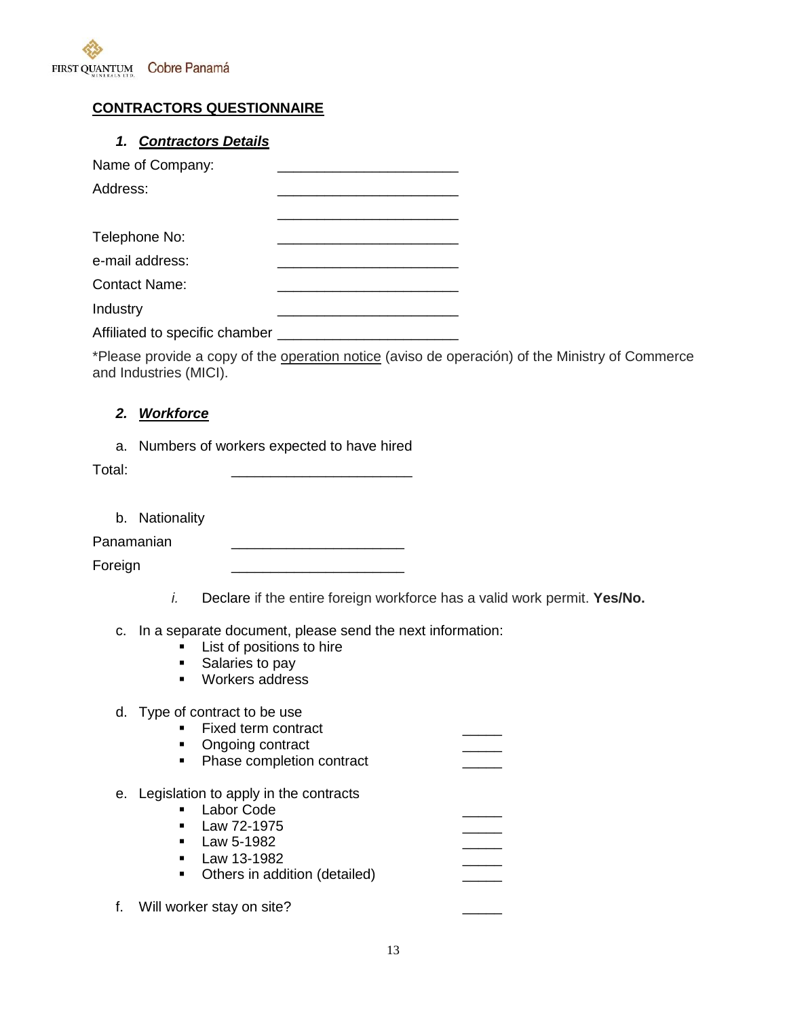

## **CONTRACTORS QUESTIONNAIRE**

## *1. Contractors Details*

| Name of Company:               |  |
|--------------------------------|--|
| Address:                       |  |
|                                |  |
| Telephone No:                  |  |
| e-mail address:                |  |
| Contact Name:                  |  |
| Industry                       |  |
| Affiliated to specific chamber |  |

\*Please provide a copy of the operation notice (aviso de operación) of the Ministry of Commerce and Industries (MICI).

### *2. Workforce*

a. Numbers of workers expected to have hired

Total: \_\_\_\_\_\_\_\_\_\_\_\_\_\_\_\_\_\_\_\_\_\_\_

b. Nationality

Panamanian \_\_\_\_\_\_\_\_\_\_\_\_\_\_\_\_\_\_\_\_\_\_

Foreign \_\_\_\_\_\_\_\_\_\_\_\_\_\_\_\_\_\_\_\_\_\_

- *i.* Declare if the entire foreign workforce has a valid work permit. **Yes/No.**
- c. In a separate document, please send the next information:
	- **List of positions to hire**
	- Salaries to pay
	- **Workers address**

#### d. Type of contract to be use

- Fixed term contract
- Ongoing contract
- Phase completion contract
- e. Legislation to apply in the contracts
	- **Labor Code**  $\blacksquare$  Law 72-1975
	- $\blacksquare$  Law 5-1982
	- $\blacksquare$  Law 13-1982
	- Others in addition (detailed)

f. Will worker stay on site?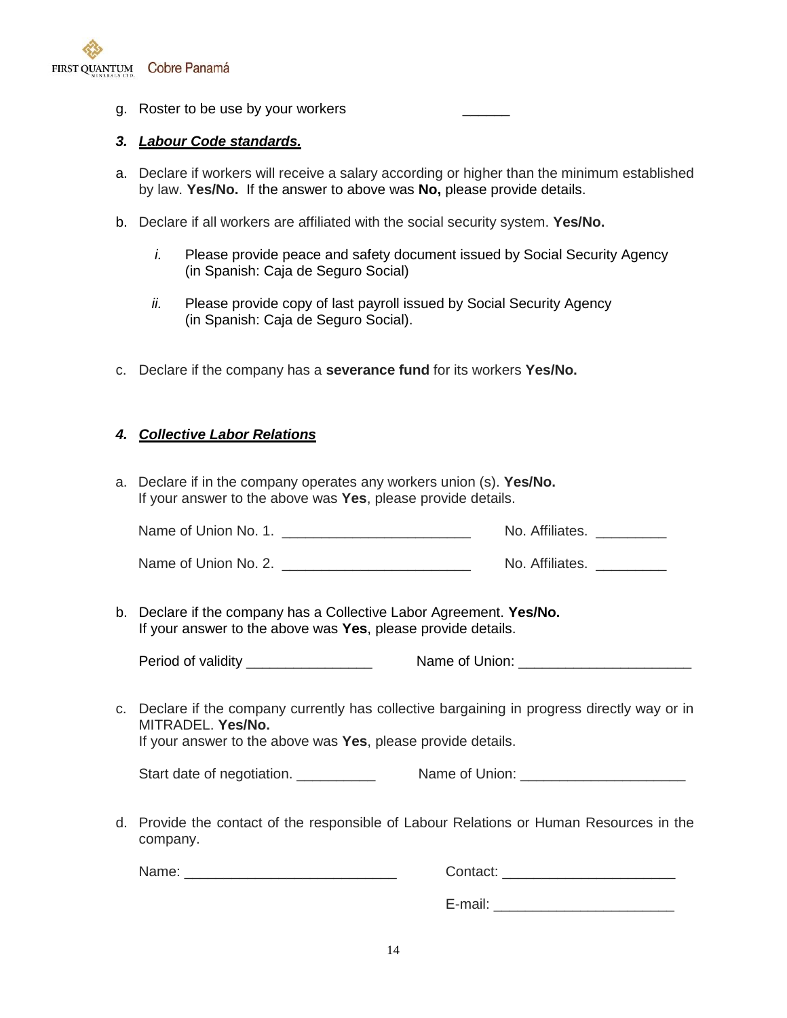

g. Roster to be use by your workers

#### *3. Labour Code standards.*

- a. Declare if workers will receive a salary according or higher than the minimum established by law. **Yes/No.** If the answer to above was **No,** please provide details.
- b. Declare if all workers are affiliated with the social security system. **Yes/No.**
	- *i.* Please provide peace and safety document issued by Social Security Agency (in Spanish: Caja de Seguro Social)
	- *ii.* Please provide copy of last payroll issued by Social Security Agency (in Spanish: Caja de Seguro Social).
- c. Declare if the company has a **severance fund** for its workers **Yes/No.**

#### *4. Collective Labor Relations*

a. Declare if in the company operates any workers union (s). **Yes/No.** If your answer to the above was **Yes**, please provide details.

| Name of Union No. 1. | No. Affiliates. |
|----------------------|-----------------|
|----------------------|-----------------|

| Name of Union No. 2. | No. Affiliates. |
|----------------------|-----------------|
|----------------------|-----------------|

b. Declare if the company has a Collective Labor Agreement. **Yes/No.** If your answer to the above was **Yes**, please provide details.

Period of validity \_\_\_\_\_\_\_\_\_\_\_\_\_\_\_\_ Name of Union: \_\_\_\_\_\_\_\_\_\_\_\_\_\_\_\_\_\_\_\_\_\_

c. Declare if the company currently has collective bargaining in progress directly way or in MITRADEL. **Yes/No.**

If your answer to the above was **Yes**, please provide details.

| Start date of negotiation. | Name of Union: |
|----------------------------|----------------|
|                            |                |

d. Provide the contact of the responsible of Labour Relations or Human Resources in the company.

Name: etc. and the contact:  $\sim$  Contact:  $\sim$  Contact:  $\sim$  2001  $\sim$  2001  $\sim$  2001  $\sim$  2001  $\sim$  2001  $\sim$  2001  $\sim$  2001  $\sim$  2001  $\sim$  2001  $\sim$  2001  $\sim$  2001  $\sim$  2001  $\sim$  2001  $\sim$  2001  $\sim$  2001  $\sim$  2001  $\sim$  2

E-mail: **E-mail:**  $\blacksquare$